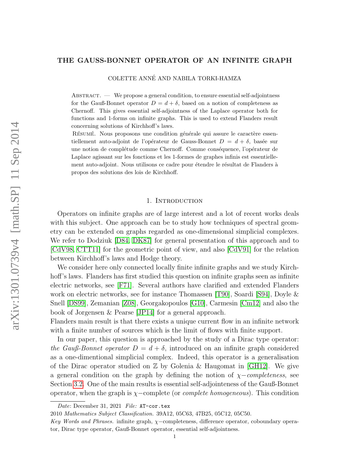#### THE GAUSS-BONNET OPERATOR OF AN INFINITE GRAPH

COLETTE ANNE AND NABILA TORKI-HAMZA ´

Abstract. — We propose a general condition, to ensure essential self-adjointness for the Gauß-Bonnet operator  $D = d + \delta$ , based on a notion of completeness as Chernoff. This gives essential self-adjointness of the Laplace operator both for functions and 1-forms on infinite graphs. This is used to extend Flanders result concerning solutions of Kirchhoff's laws.

RÉSUMÉ. Nous proposons une condition générale qui assure le caractère essentiellement auto-adjoint de l'opérateur de Gauss-Bonnet  $D = d + \delta$ , basée sur une notion de complétude comme Chernoff. Comme conséquence, l'opérateur de Laplace agissant sur les fonctions et les 1-formes de graphes infinis est essentiellement auto-adjoint. Nous utilisons ce cadre pour étendre le résultat de Flanders à propos des solutions des lois de Kirchhoff.

### 1. Introduction

Operators on infinite graphs are of large interest and a lot of recent works deals with this subject. One approach can be to study how techniques of spectral geometry can be extended on graphs regarded as one-dimensional simplicial complexes. We refer to Dodziuk [\[D84,](#page-18-0) [DK87\]](#page-18-1) for general presentation of this approach and to [\[CdV98,](#page-18-2) [CTT11\]](#page-18-3) for the geometric point of view, and also [\[CdV91\]](#page-18-4) for the relation between Kirchhoff's laws and Hodge theory.

We consider here only connected locally finite infinite graphs and we study Kirchhoff's laws. Flanders has first studied this question on infinite graphs seen as infinite electric networks, see [\[F71\]](#page-18-5). Several authors have clarified and extended Flanders work on electric networks, see for instance Thomassen [\[T90\]](#page-19-0), Soardi [\[S94\]](#page-19-1), Doyle & Snell [\[DS99\]](#page-18-6), Zemanian [\[Z08\]](#page-19-2), Georgakopoulos [\[G10\]](#page-18-7), Carmesin [\[Cm12\]](#page-18-8) and also the book of Jorgensen & Pearse [\[JP14\]](#page-18-9) for a general approach.

Flanders main result is that there exists a unique current flow in an infinite network with a finite number of sources which is the limit of flows with finite support.

In our paper, this question is approached by the study of a Dirac type operator: the Gauß-Bonnet operator  $D = d + \delta$ , introduced on an infinite graph considered as a one-dimentional simplicial complex. Indeed, this operator is a generalisation of the Dirac operator studied on  $\mathbb Z$  by Golenia & Haugomat in [\[GH12\]](#page-18-10). We give a general condition on the graph by defining the notion of  $\chi$ −completeness, see Section [3.2.](#page-5-0) One of the main results is essential self-adjointeness of the Gauß-Bonnet operator, when the graph is  $\chi$ -complete (or *complete homogeneous*). This condition

Date: December 31, 2021 File: AT-cor.tex

<sup>2010</sup> Mathematics Subject Classification. 39A12, 05C63, 47B25, 05C12, 05C50.

Key Words and Phrases. infinite graph, χ−completeness, difference operator, coboundary operator, Dirac type operator, Gauß-Bonnet operator, essential self-adjointness.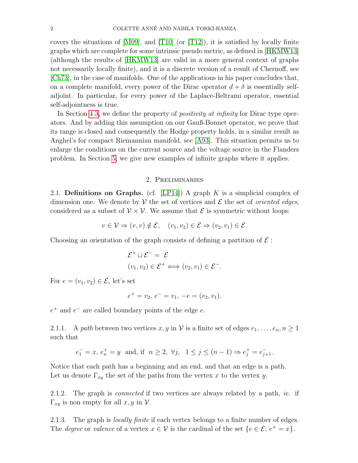covers the situations of [\[M09\]](#page-19-3), and [\[T10\]](#page-19-4) (or [\[T12\]](#page-19-5)), it is satisfied by locally finite graphs which are complete for some intrinsic pseudo metric, as defined in [\[HKMW13\]](#page-18-11) (although the results of [\[HKMW13\]](#page-18-11) are valid in a more general context of graphs not necessarily locally finite), and it is a discrete version of a result of Chernoff, see [\[Ch73\]](#page-18-12), in the case of manifolds. One of the applications in his paper concludes that, on a complete manifold, every power of the Dirac operator  $d + \delta$  is essentially selfadjoint. In particular, for every power of the Laplace-Beltrami operator, essential self-adjointness is true.

In Section [4.3,](#page-13-0) we define the property of *positivity at infinity* for Dirac type operators. And by adding this assumption on our Gauß-Bonnet operator, we prove that its range is closed and consequently the Hodge property holds, in a similar result as Anghel's for compact Riemannian manifold, see [\[A93\]](#page-18-13). This situation permits us to enlarge the conditions on the current source and the voltage source in the Flanders problem. In Section [5,](#page-15-0) we give new examples of infinite graphs where it applies.

# 2. Preliminaries

2.1. Definitions on Graphs. (cf. [\[LP14\]](#page-18-14)) A graph K is a simplicial complex of dimension one. We denote by  $\mathcal V$  the set of vertices and  $\mathcal E$  the set of *oriented edges*, considered as a subset of  $V \times V$ . We assume that  $\mathcal E$  is symmetric without loops:

$$
v \in \mathcal{V} \Rightarrow (v, v) \notin \mathcal{E}, \quad (v_1, v_2) \in \mathcal{E} \Rightarrow (v_2, v_1) \in \mathcal{E}.
$$

Choosing an orientation of the graph consists of defining a partition of  $\mathcal{E}$ :

$$
\mathcal{E}^+ \sqcup \mathcal{E}^- = \mathcal{E}
$$
  

$$
(v_1, v_2) \in \mathcal{E}^+ \Longleftrightarrow (v_2, v_1) \in \mathcal{E}^-.
$$

For  $e = (v_1, v_2) \in \mathcal{E}$ , let's set

$$
e^+ = v_2, e^- = v_1, -e = (v_2, v_1).
$$

 $e^+$  and  $e^-$  are called boundary points of the edge  $e$ .

2.1.1. A path between two vertices  $x, y$  in V is a finite set of edges  $e_1, \ldots, e_n, n \ge 1$ such that

$$
e_1^- = x, e_n^+ = y
$$
 and, if  $n \ge 2, \forall j, 1 \le j \le (n-1) \Rightarrow e_j^+ = e_{j+1}^-.$ 

Notice that each path has a beginning and an end, and that an edge is a path. Let us denote  $\Gamma_{xy}$  the set of the paths from the vertex x to the vertex y.

2.1.2. The graph is *connected* if two vertices are always related by a path, *ie.* if  $\Gamma_{xy}$  is non empty for all  $x, y$  in  $\mathcal{V}$ .

2.1.3. The graph is *locally finite* if each vertex belongs to a finite number of edges. The *degree* or *valence* of a vertex  $x \in V$  is the cardinal of the set  $\{e \in \mathcal{E}; e^+ = x\}.$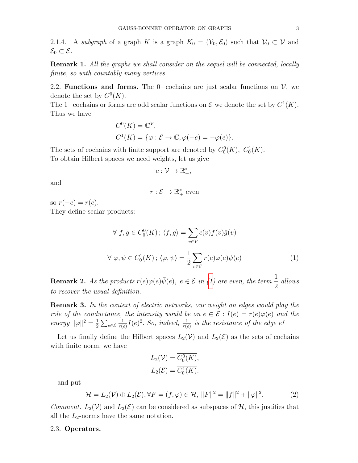<span id="page-2-2"></span>2.1.4. A subgraph of a graph K is a graph  $K_0 = (\mathcal{V}_0, \mathcal{E}_0)$  such that  $\mathcal{V}_0 \subset \mathcal{V}$  and  $\mathcal{E}_0 \subset \mathcal{E}.$ 

**Remark 1.** All the graphs we shall consider on the sequel will be connected, locally finite, so with countably many vertices.

2.2. Functions and forms. The 0–cochains are just scalar functions on  $V$ , we denote the set by  $C^0(K)$ .

The 1–cochains or forms are odd scalar functions on  $\mathcal E$  we denote the set by  $C^1(K)$ . Thus we have

$$
C^{0}(K) = \mathbb{C}^{\mathcal{V}},
$$
  
\n
$$
C^{1}(K) = \{\varphi : \mathcal{E} \to \mathbb{C}, \varphi(-e) = -\varphi(e)\}.
$$

The sets of cochains with finite support are denoted by  $C_0^0(K)$ ,  $C_0^1(K)$ . To obtain Hilbert spaces we need weights, let us give

$$
c:\mathcal{V}\to\mathbb{R}_+^*,
$$

and

<span id="page-2-0"></span>
$$
r: \mathcal{E} \to \mathbb{R}_+^*
$$
 even

so  $r(-e) = r(e)$ .

They define scalar products:

$$
\forall f, g \in C_0^0(K); \langle f, g \rangle = \sum_{v \in \mathcal{V}} c(v) f(v) \overline{g}(v)
$$
  

$$
\forall \varphi, \psi \in C_0^1(K); \langle \varphi, \psi \rangle = \frac{1}{2} \sum_{e \in \mathcal{E}} r(e) \varphi(e) \overline{\psi}(e) \tag{1}
$$

**Remark 2.** As the products  $r(e) \varphi(e) \overline{\psi}(e)$ ,  $e \in \mathcal{E}$  in [\(1\)](#page-2-0) are even, the term  $\frac{1}{2}$ 2 allows to recover the usual definition.

Remark 3. In the context of electric networks, our weight on edges would play the role of the conductance, the intensity would be on  $e \in \mathcal{E} : I(e) = r(e)\varphi(e)$  and the energy  $\|\varphi\|^2 = \frac{1}{2}$  $\frac{1}{2}\sum_{e\in\mathcal{E}}$ 1  $\frac{1}{r(e)}I(e)^2$ . So, indeed,  $\frac{1}{r(e)}$  is the resistance of the edge e!

Let us finally define the Hilbert spaces  $L_2(\mathcal{V})$  and  $L_2(\mathcal{E})$  as the sets of cochains with finite norm, we have

$$
L_2(\mathcal{V}) = \overline{C_0^0(K)},
$$
  

$$
L_2(\mathcal{E}) = \overline{C_0^1(K)}.
$$

and put

<span id="page-2-1"></span>
$$
\mathcal{H} = L_2(\mathcal{V}) \oplus L_2(\mathcal{E}), \forall F = (f, \varphi) \in \mathcal{H}, ||F||^2 = ||f||^2 + ||\varphi||^2.
$$
 (2)

*Comment.*  $L_2(\mathcal{V})$  and  $L_2(\mathcal{E})$  can be considered as subspaces of  $\mathcal{H}$ , this justifies that all the  $L_2$ -norms have the same notation.

### 2.3. Operators.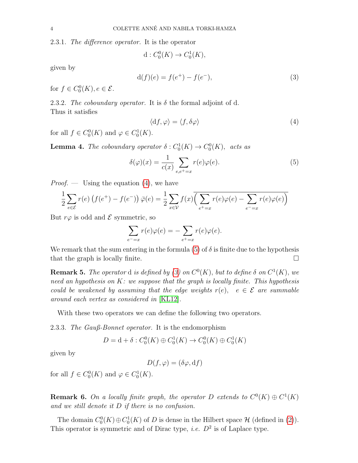2.3.1. The difference operator. It is the operator

$$
d: C_0^0(K) \to C_0^1(K),
$$

given by

<span id="page-3-2"></span>
$$
d(f)(e) = f(e^+) - f(e^-),
$$
\n(3)

for  $f \in C_0^0(K)$ ,  $e \in \mathcal{E}$ .

2.3.2. The coboundary operator. It is  $\delta$  the formal adjoint of d. Thus it satisfies

<span id="page-3-0"></span>
$$
\langle \mathrm{d}f, \varphi \rangle = \langle f, \delta \varphi \rangle \tag{4}
$$

for all  $f \in C_0^0(K)$  and  $\varphi \in C_0^1(K)$ .

**Lemma 4.** The coboundary operator  $\delta: C_0^1(K) \to C_0^0(K)$ , acts as

<span id="page-3-1"></span>
$$
\delta(\varphi)(x) = \frac{1}{c(x)} \sum_{e,e^+ = x} r(e)\varphi(e). \tag{5}
$$

*Proof.* — Using the equation  $(4)$ , we have

$$
\frac{1}{2} \sum_{e \in \mathcal{E}} r(e) \left( f(e^+) - f(e^-) \right) \overline{\varphi}(e) = \frac{1}{2} \sum_{x \in \mathcal{V}} f(x) \overline{\left( \sum_{e^+ = x} r(e) \varphi(e) - \sum_{e^- = x} r(e) \varphi(e) \right)}
$$

But  $r\varphi$  is odd and  $\mathcal E$  symmetric, so

$$
\sum_{e^- = x} r(e)\varphi(e) = -\sum_{e^+ = x} r(e)\varphi(e).
$$

We remark that the sum entering in the formula [\(5\)](#page-3-1) of  $\delta$  is finite due to the hypothesis that the graph is locally finite.  $\square$ 

**Remark 5.** The operator d is defined by [\(3\)](#page-3-2) on  $C^0(K)$ , but to define  $\delta$  on  $C^1(K)$ , we need an hypothesis on  $K$ : we suppose that the graph is locally finite. This hypothesis could be weakened by assuming that the edge weights  $r(e)$ ,  $e \in \mathcal{E}$  are summable around each vertex as considered in [\[KL12\]](#page-18-15).

With these two operators we can define the following two operators.

2.3.3. The Gauß-Bonnet operator. It is the endomorphism

$$
D = d + \delta : C_0^0(K) \oplus C_0^1(K) \to C_0^0(K) \oplus C_0^1(K)
$$

given by

$$
D(f, \varphi) = (\delta \varphi, df)
$$

for all  $f \in C_0^0(K)$  and  $\varphi \in C_0^1(K)$ .

**Remark 6.** On a locally finite graph, the operator D extends to  $C^0(K) \oplus C^1(K)$ and we still denote it D if there is no confusion.

The domain  $C_0^0(K) \oplus C_0^1(K)$  of D is dense in the Hilbert space  $\mathcal H$  (defined in [\(2\)](#page-2-1)). This operator is symmetric and of Dirac type, *i.e.*  $D^2$  is of Laplace type.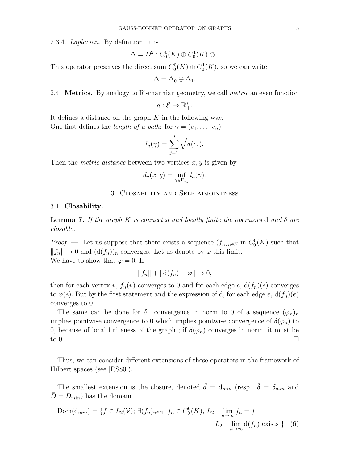2.3.4. Laplacian. By definition, it is

$$
\Delta = D^2 : C_0^0(K) \oplus C_0^1(K) \circlearrowleft.
$$

This operator preserves the direct sum  $C_0^0(K) \oplus C_0^1(K)$ , so we can write

$$
\Delta = \Delta_0 \oplus \Delta_1.
$$

## <span id="page-4-0"></span>2.4. **Metrics.** By analogy to Riemannian geometry, we call *metric* an even function

$$
a:\mathcal{E}\to\mathbb{R}_+^*.
$$

It defines a distance on the graph  $K$  in the following way. One first defines the *length of a path*: for  $\gamma = (e_1, \ldots, e_n)$ 

$$
l_a(\gamma) = \sum_{j=1}^n \sqrt{a(e_j)}.
$$

Then the *metric distance* between two vertices  $x, y$  is given by

$$
d_a(x,y) = \inf_{\gamma \in \Gamma_{xy}} l_a(\gamma).
$$

# 3. Closability and Self-adjointness

### 3.1. Closability.

**Lemma 7.** If the graph K is connected and locally finite the operators d and  $\delta$  are closable.

*Proof.* — Let us suppose that there exists a sequence  $(f_n)_{n\in\mathbb{N}}$  in  $C_0^0(K)$  such that  $||f_n|| \to 0$  and  $(d(f_n))_n$  converges. Let us denote by  $\varphi$  this limit. We have to show that  $\varphi = 0$ . If

$$
||f_n|| + ||d(f_n) - \varphi|| \to 0,
$$

then for each vertex v,  $f_n(v)$  converges to 0 and for each edge e,  $d(f_n)(e)$  converges to  $\varphi(e)$ . But by the first statement and the expression of d, for each edge e,  $d(f_n)(e)$ converges to 0.

The same can be done for  $\delta$ : convergence in norm to 0 of a sequence  $(\varphi_n)_n$ implies pointwise convergence to 0 which implies pointwise convergence of  $\delta(\varphi_n)$  to 0, because of local finiteness of the graph; if  $\delta(\varphi_n)$  converges in norm, it must be to 0.

Thus, we can consider different extensions of these operators in the framework of Hilbert spaces (see [\[RS80\]](#page-19-6)).

The smallest extension is the closure, denoted  $\bar{d} = d_{min}$  (resp.  $\bar{\delta} = \delta_{min}$  and  $D = D_{min}$ ) has the domain

$$
\text{Dom}(\mathbf{d}_{min}) = \{ f \in L_2(\mathcal{V}); \, \exists (f_n)_{n \in \mathbb{N}}, \, f_n \in C_0^0(K), \, L_2 - \lim_{n \to \infty} f_n = f, \, L_2 - \lim_{n \to \infty} \mathbf{d}(f_n) \text{ exists } \} \quad (6)
$$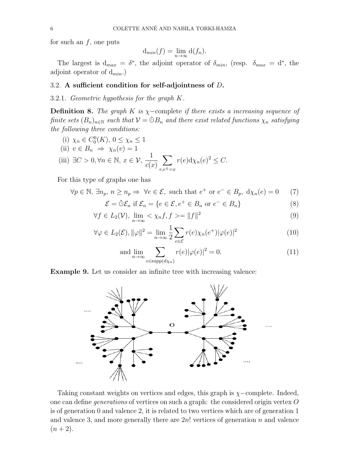for such an  $f$ , one puts

$$
d_{min}(f) = \lim_{n \to \infty} d(f_n).
$$

The largest is  $d_{max} = \delta^*$ , the adjoint operator of  $\delta_{min}$ , (resp.  $\delta_{max} = d^*$ , the adjoint operator of  $d_{min}$ .)

# <span id="page-5-0"></span>3.2. A sufficient condition for self-adjointness of D.

3.2.1. Geometric hypothesis for the graph K.

**Definition 8.** The graph K is  $\chi$ -complete if there exists a increasing sequence of finite sets  $(B_n)_{n\in\mathbb{N}}$  such that  $\mathcal{V}=\mathbb{O}B_n$  and there exist related functions  $\chi_n$  satisfying the following three conditions:

(i) 
$$
\chi_n \in C_0^0(K)
$$
,  $0 \le \chi_n \le 1$   
\n(ii)  $v \in B_n \Rightarrow \chi_n(v) = 1$   
\n(iii)  $\exists C > 0, \forall n \in \mathbb{N}, x \in \mathcal{V}, \frac{1}{c(x)} \sum_{e,e^{\pm}=x} r(e) d\chi_n(e)^2 \le C$ .

For this type of graphs one has

$$
\forall p \in \mathbb{N}, \exists n_p, n \ge n_p \Rightarrow \forall e \in \mathcal{E}, \text{ such that } e^+ \text{ or } e^- \in B_p, d\chi_n(e) = 0 \tag{7}
$$

$$
\mathcal{E} = \mathbb{O}\mathcal{E}_n \text{ if } \mathcal{E}_n = \{e \in \mathcal{E}, e^+ \in B_n \text{ or } e^- \in B_n\}
$$
 (8)

$$
\forall f \in L_2(\mathcal{V}), \lim_{n \to \infty} \langle \chi_n f, f \rangle = ||f||^2 \tag{9}
$$

$$
\forall \varphi \in L_2(\mathcal{E}), \|\varphi\|^2 = \lim_{n \to \infty} \frac{1}{2} \sum_{e \in \mathcal{E}} r(e) \chi_n(e^+) |\varphi(e)|^2 \tag{10}
$$

<span id="page-5-3"></span><span id="page-5-2"></span><span id="page-5-1"></span>and 
$$
\lim_{n \to \infty} \sum_{e \in \text{supp}(\mathrm{d}\chi_n)} r(e)|\varphi(e)|^2 = 0.
$$
 (11)

Example 9. Let us consider an infinite tree with increasing valence:



Taking constant weights on vertices and edges, this graph is  $\chi$ −complete. Indeed, one can define generations of vertices on such a graph: the considered origin vertex O is of generation 0 and valence 2, it is related to two vertices which are of generation 1 and valence 3, and more generally there are  $2n!$  vertices of generation n and valence  $(n+2).$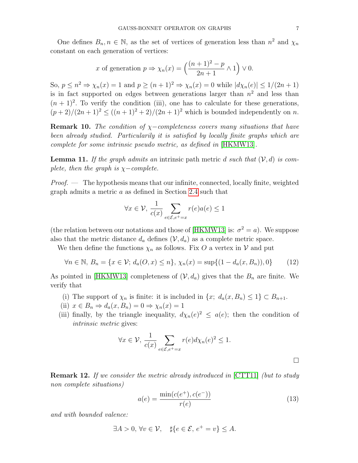One defines  $B_n, n \in \mathbb{N}$ , as the set of vertices of generation less than  $n^2$  and  $\chi_n$ constant on each generation of vertices:

x of generation 
$$
p \Rightarrow \chi_n(x) = \left(\frac{(n+1)^2 - p}{2n+1} \wedge 1\right) \vee 0
$$
.

So,  $p \leq n^2 \Rightarrow \chi_n(x) = 1$  and  $p \geq (n+1)^2 \Rightarrow \chi_n(x) = 0$  while  $|d\chi_n(e)| \leq 1/(2n+1)$ is in fact supported on edges between generations larger than  $n^2$  and less than  $(n + 1)^2$ . To verify the condition (iii), one has to calculate for these generations,  $(p+2)/(2n+1)^2 \leq ((n+1)^2+2)/(2n+1)^2$  which is bounded independently on n.

**Remark 10.** The condition of  $\chi$ -completeness covers many situations that have been already studied. Particularily it is satisfied by locally finite graphs which are complete for some intrinsic pseudo metric, as defined in [\[HKMW13\]](#page-18-11).

**Lemma 11.** If the graph admits an intrinsic path metric d such that  $(V, d)$  is complete, then the graph is  $\chi$ −complete.

Proof. — The hypothesis means that our infinite, connected, locally finite, weighted graph admits a metric a as defined in Section [2.4](#page-4-0) such that

$$
\forall x \in \mathcal{V}, \, \frac{1}{c(x)} \sum_{e \in \mathcal{E}, e^+ = x} r(e) a(e) \le 1
$$

(the relation between our notations and those of [\[HKMW13\]](#page-18-11) is:  $\sigma^2 = a$ ). We suppose also that the metric distance  $d_a$  defines  $(\mathcal{V}, d_a)$  as a complete metric space.

We then define the functions  $\chi_n$  as follows. Fix O a vertex in V and put

<span id="page-6-0"></span>
$$
\forall n \in \mathbb{N}, B_n = \{x \in \mathcal{V}; d_a(O, x) \le n\}, \chi_n(x) = \sup\{(1 - d_a(x, B_n)), 0\}
$$
 (12)

As pointed in [\[HKMW13\]](#page-18-11) completeness of  $(V, d_a)$  gives that the  $B_n$  are finite. We verify that

- (i) The support of  $\chi_n$  is finite: it is included in  $\{x; d_a(x, B_n) \leq 1\} \subset B_{n+1}$ .
- (ii)  $x \in B_n \Rightarrow d_a(x, B_n) = 0 \Rightarrow \chi_n(x) = 1$
- (iii) finally, by the triangle inequality,  $d\chi_n(e)^2 \leq a(e)$ ; then the condition of intrinsic metric gives:

$$
\forall x \in \mathcal{V}, \frac{1}{c(x)} \sum_{e \in \mathcal{E}, e^+ = x} r(e) d\chi_n(e)^2 \le 1.
$$

**Remark 12.** If we consider the metric already introduced in [\[CTT11\]](#page-18-3) (but to study non complete situations)

$$
a(e) = \frac{\min(c(e^+), c(e^-))}{r(e)}
$$
\n(13)

and with bounded valence:

$$
\exists A > 0, \forall v \in \mathcal{V}, \quad \sharp \{ e \in \mathcal{E}, e^+ = v \} \leq A.
$$

 $\Box$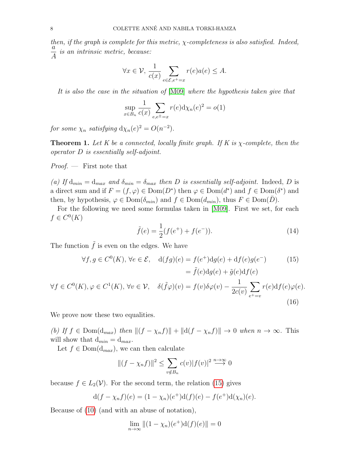then, if the graph is complete for this metric,  $\chi$ -completeness is also satisfied. Indeed, a A is an intrinsic metric, because:

$$
\forall x \in \mathcal{V}, \frac{1}{c(x)} \sum_{e \in \mathcal{E}, e^+ = x} r(e)a(e) \leq A.
$$

It is also the case in the situation of [\[M09\]](#page-19-3) where the hypothesis taken give that

$$
\sup_{x \in B_n} \frac{1}{c(x)} \sum_{e,e^{\pm}=x} r(e) \mathrm{d}\chi_n(e)^2 = o(1)
$$

for some  $\chi_n$  satisfying  $d\chi_n(e)^2 = O(n^{-2})$ .

**Theorem 1.** Let K be a connected, locally finite graph. If K is  $\chi$ -complete, then the operator D is essentially self-adjoint.

 $Proof.$  — First note that

(a) If  $d_{min} = d_{max}$  and  $\delta_{min} = \delta_{max}$  then D is essentially self-adjoint. Indeed, D is a direct sum and if  $F = (f, \varphi) \in \text{Dom}(D^*)$  then  $\varphi \in \text{Dom}(d^*)$  and  $f \in \text{Dom}(\delta^*)$  and then, by hypothesis,  $\varphi \in \text{Dom}(\delta_{min})$  and  $f \in \text{Dom}(d_{min})$ , thus  $F \in \text{Dom}(\overline{D})$ .

For the following we need some formulas taken in [\[M09\]](#page-19-3). First we set, for each  $f \in C^0(K)$ 

<span id="page-7-1"></span><span id="page-7-0"></span>
$$
\tilde{f}(e) = \frac{1}{2}(f(e^+) + f(e^-)).
$$
\n(14)

The function  $\tilde{f}$  is even on the edges. We have

$$
\forall f, g \in C^{0}(K), \forall e \in \mathcal{E}, \quad d(fg)(e) = f(e^{+})dg(e) + df(e)g(e^{-}) \qquad (15)
$$

$$
= \tilde{f}(e)dg(e) + \tilde{g}(e)df(e)
$$

$$
\forall f \in C^{0}(K), \varphi \in C^{1}(K), \forall v \in \mathcal{V}, \quad \delta(\tilde{f}\varphi)(v) = f(v)\delta\varphi(v) - \frac{1}{2c(v)}\sum_{e^{+}=v} r(e)df(e)\varphi(e).
$$
(16)

We prove now these two equalities.

(b) If  $f \in \text{Dom}(d_{max})$  then  $||(f - \chi_n f)|| + ||d(f - \chi_n f)|| \to 0$  when  $n \to \infty$ . This will show that  $d_{min} = d_{max}$ .

Let  $f \in Dom(d_{max})$ , we can then calculate

$$
||(f - \chi_n f)||^2 \le \sum_{v \notin B_n} c(v)|f(v)|^2 \stackrel{n \to \infty}{\longrightarrow} 0
$$

because  $f \in L_2(\mathcal{V})$ . For the second term, the relation [\(15\)](#page-7-0) gives

$$
d(f - \chi_n f)(e) = (1 - \chi_n)(e^+)d(f)(e) - f(e^+)d(\chi_n)(e).
$$

Because of [\(10\)](#page-5-1) (and with an abuse of notation),

$$
\lim_{n \to \infty} ||(1 - \chi_n)(e^+) \mathrm{d}(f)(e)|| = 0
$$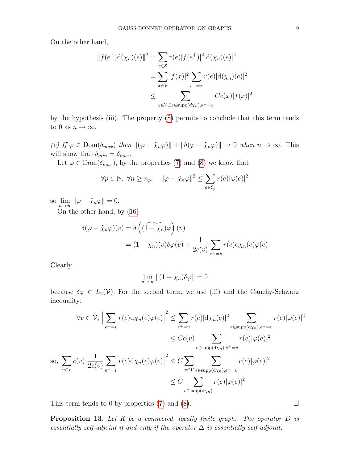On the other hand,

$$
||f(e^+)d(\chi_n)(e)||^2 = \sum_{e \in \mathcal{E}} r(e)|f(e^+)|^2|d(\chi_n)(e)|^2
$$
  
= 
$$
\sum_{x \in \mathcal{V}} |f(x)|^2 \sum_{e^+ = x} r(e)|d(\chi_n)(e)|^2
$$
  

$$
\leq \sum_{x \in \mathcal{V}, \exists e \in \text{supp}(d\chi_n), e^+ = x} Cc(x)|f(x)|^2
$$

by the hypothesis (iii). The property [\(8\)](#page-5-2) permits to conclude that this term tends to 0 as  $n \to \infty$ .

(c) If  $\varphi \in \text{Dom}(\delta_{max})$  then  $\|(\varphi - \tilde{\chi}_n\varphi)\| + \|\delta(\varphi - \tilde{\chi}_n\varphi)\| \to 0$  when  $n \to \infty$ . This will show that  $\delta_{min} = \delta_{max}$ .

Let  $\varphi \in \text{Dom}(\delta_{max})$ , by the properties [\(7\)](#page-5-3) and [\(8\)](#page-5-2) we know that

$$
\forall p \in \mathbb{N}, \ \forall n \ge n_p, \quad \|\varphi - \tilde{\chi}_n \varphi\|^2 \le \sum_{e \in \mathcal{E}_p^c} r(e) |\varphi(e)|^2
$$

so  $\lim_{n\to\infty} \|\varphi - \tilde{\chi}_n\varphi\| = 0.$ 

On the other hand, by [\(16\)](#page-7-1)

$$
\delta(\varphi - \tilde{\chi}_n \varphi)(v) = \delta\left((1 - \chi_n)\varphi\right)(v)
$$
  
=  $(1 - \chi_n)(v)\delta\varphi(v) + \frac{1}{2c(v)}\sum_{e^+ = v} r(e)\mathrm{d}\chi_n(e)\varphi(e)$ 

Clearly

$$
\lim_{n \to \infty} \|(1 - \chi_n)\delta\varphi\| = 0
$$

because  $\delta \varphi \in L_2(\mathcal{V})$ . For the second term, we use (iii) and the Cauchy-Schwarz inequality:

$$
\forall v \in \mathcal{V}, \left| \sum_{e^+ = v} r(e) d\chi_n(e) \varphi(e) \right|^2 \leq \sum_{e^+ = v} r(e) |d\chi_n(e)|^2 \sum_{e \in \text{supp}(d\chi_n), e^+ = v} r(e) |\varphi(e)|^2
$$
  

$$
\leq Cc(v) \sum_{e \in \text{supp}(d\chi_n), e^+ = v} r(e) |\varphi(e)|^2
$$
  
so, 
$$
\sum_{v \in \mathcal{V}} c(v) \left| \frac{1}{2c(v)} \sum_{e^+ = v} r(e) d\chi_n(e) \varphi(e) \right|^2 \leq C \sum_{v \in \mathcal{V}} \sum_{e \in \text{supp}(d\chi_n), e^+ = v} r(e) |\varphi(e)|^2
$$
  

$$
\leq C \sum_{e \in \text{supp}(d\chi_n)} r(e) |\varphi(e)|^2.
$$

This term tends to 0 by properties [\(7\)](#page-5-3) and [\(8\)](#page-5-2).  $\Box$ 

**Proposition 13.** Let  $K$  be a connected, locally finite graph. The operator  $D$  is essentially self-adjoint if and only if the operator  $\Delta$  is essentially self-adjoint.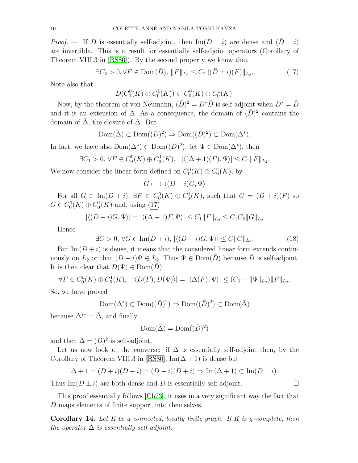*Proof.* — If D is essentially self-adjoint, then  $\text{Im}(D \pm i)$  are dense and  $(D \pm i)$ are invertible. This is a result for essentially self-adjoint operators (Corollary of Theorem VIII.3 in [\[RS80\]](#page-19-6)). By the second property we know that

<span id="page-9-0"></span>
$$
\exists C_2 > 0, \forall F \in \text{Dom}(\bar{D}), \, \|F\|_{L_2} \le C_2 \|(\bar{D} \pm i)(F)\|_{L_2}.
$$
 (17)

Note also that

$$
D(C_0^0(K) \oplus C_0^1(K)) \subset C_0^0(K) \oplus C_0^1(K).
$$

Now, by the theorem of von Neumann,  $(\bar{D})^2 = D^* \bar{D}$  is self-adjoint when  $D^* = \bar{D}$ and it is an extension of  $\Delta$ . As a consequence, the domain of  $(\bar{D})^2$  contains the domain of  $\overline{\Delta}$ , the closure of  $\Delta$ . But

$$
\text{Dom}(\bar{\Delta}) \subset \text{Dom}((\bar{D})^2) \Rightarrow \text{Dom}((\bar{D})^2) \subset \text{Dom}(\Delta^*).
$$

In fact, we have also  $Dom(\Delta^*) \subset Dom((\bar{D})^2)$ : let  $\Psi \in Dom(\Delta^*)$ , then

$$
\exists C_1 > 0, \forall F \in C_0^0(K) \oplus C_0^1(K), \ |\langle (\Delta + 1)(F), \Psi \rangle| \le C_1 ||F||_{L_2}.
$$

We now consider the linear form defined on  $C_0^0(K) \oplus C_0^1(K)$ , by

$$
G \longmapsto \langle (D-i)G, \Psi \rangle
$$

For all  $G \in \text{Im}(D + i)$ ,  $\exists F \in C_0^0(K) \oplus C_0^1(K)$ , such that  $G = (D + i)(F)$  so  $G \in C_0^0(K) \oplus C_0^1(K)$  and, using [\(17\)](#page-9-0)

$$
|\langle (D - i)G, \Psi \rangle| = |\langle (\Delta + 1)F, \Psi \rangle| \le C_1 ||F||_{L_2} \le C_1 C_2 ||G||_{L_2}
$$

Hence

$$
\exists C > 0, \forall G \in \operatorname{Im}(D+i), \ |\langle (D-i)G, \Psi \rangle| \le C \|G\|_{L_2}.\tag{18}
$$

But  $\text{Im}(D + i)$  is dense, it means that the considered linear form extends continuously on  $L_2$  or that  $(D + i)\Psi \in L_2$ . Thus  $\Psi \in \text{Dom}(\overline{D})$  because  $\overline{D}$  is self-adjoint. It is then clear that  $D(\Psi) \in \text{Dom}(D)$ :

$$
\forall F \in C_0^0(K) \oplus C_0^1(K), \ \ |\langle D(F), D(\Psi) \rangle| = |\langle \Delta(F), \Psi \rangle| \le (C_1 + \|\Psi\|_{L_2}) \|F\|_{L_2}.
$$

So, we have proved

$$
\text{Dom}(\Delta^*) \subset \text{Dom}((\bar{D})^2) \Rightarrow \text{Dom}((\bar{D})^2) \subset \text{Dom}(\bar{\Delta})
$$

because  $\Delta^{**} = \overline{\Delta}$ , and finally

$$
\text{Dom}(\bar{\Delta}) = \text{Dom}((\bar{D})^2)
$$

and then  $\bar{\Delta} = (\bar{D})^2$  is self-adjoint.

Let us now look at the converse: if  $\Delta$  is essentially self-adjoint then, by the Corollary of Theorem VIII.3 in [\[RS80\]](#page-19-6), Im( $\Delta + 1$ ) is dense but

$$
\Delta + 1 = (D + i)(D - i) = (D - i)(D + i) \Rightarrow \text{Im}(\Delta + 1) \subset \text{Im}(D \pm i).
$$

Thus  $\text{Im}(D \pm i)$  are both dense and D is essentially self-adjoint.

This proof essentially follows [\[Ch73\]](#page-18-12), it uses in a very significant way the fact that D maps elements of finite support into themselves.

**Corollary 14.** Let K be a connected, locally finite graph. If K is  $\chi$ -complete, then the operator  $\Delta$  is essentially self-adjoint.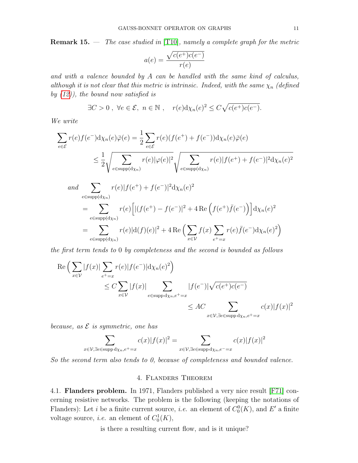**Remark 15.**  $\cdots$  *The case studied in* [\[T10\]](#page-19-4), *namely a complete graph for the metric* 

$$
a(e) = \frac{\sqrt{c(e^+)c(e^-)}}{r(e)}
$$

and with a valence bounded by  $A$  can be handled with the same kind of calculus, although it is not clear that this metric is intrinsic. Indeed, with the same  $\chi_n$  (defined by  $(12)$ , the bound now satisfied is

$$
\exists C > 0 \,, \,\forall e \in \mathcal{E}, \, n \in \mathbb{N} \,, \quad r(e) \mathrm{d}\chi_n(e)^2 \leq C \sqrt{c(e^+)c(e^-)}.
$$

We write

$$
\sum_{e \in \mathcal{E}} r(e)f(e^{-})d\chi_{n}(e)\overline{\varphi}(e) = \frac{1}{2} \sum_{e \in \mathcal{E}} r(e)(f(e^{+}) + f(e^{-}))d\chi_{n}(e)\overline{\varphi}(e)
$$
\n
$$
\leq \frac{1}{2} \sqrt{\sum_{e \in \text{supp}(d\chi_{n})} r(e)|\varphi(e)|^{2}} \sqrt{\sum_{e \in \text{supp}(d\chi_{n})} r(e)|f(e^{+}) + f(e^{-})|^{2}} d\chi_{n}(e)^{2}
$$
\nand\n
$$
\sum_{e \in \text{supp}(d\chi_{n})} r(e)|f(e^{+}) + f(e^{-})|^{2} d\chi_{n}(e)^{2}
$$
\n
$$
= \sum_{e \in \text{supp}(d\chi_{n})} r(e)\left[|(f(e^{+}) - f(e^{-})|^{2} + 4 \operatorname{Re}\left(f(e^{+})\overline{f}(e^{-})\right)\right] d\chi_{n}(e)^{2}
$$
\n
$$
= \sum_{e \in \text{supp}(d\chi_{n})} r(e)|d(f)(e)|^{2} + 4 \operatorname{Re}\left(\sum_{x \in \mathcal{V}} f(x) \sum_{e^{+}=x} r(e)\overline{f}(e^{-}) d\chi_{n}(e)^{2}\right)
$$

the first term tends to 0 by completeness and the second is bounded as follows

$$
\operatorname{Re}\left(\sum_{x\in\mathcal{V}}|f(x)|\sum_{e^+=x}r(e)|f(e^-)|d\chi_n(e)^2\right)
$$
  
\n
$$
\leq C\sum_{x\in\mathcal{V}}|f(x)|\sum_{e\in\operatorname{supp}d\chi_n,e^+=x}|f(e^-)|\sqrt{c(e^+)c(e^-)}
$$
  
\n
$$
\leq A C\sum_{x\in\mathcal{V},\exists e\in\operatorname{supp}d\chi_n,e^+=x}c(x)|f(x)|^2
$$

because, as  $\mathcal E$  is symmetric, one has

$$
\sum_{x \in \mathcal{V}, \exists e \in \text{supp } d\chi_n, e^+ = x} c(x) |f(x)|^2 = \sum_{x \in \mathcal{V}, \exists e \in \text{supp } d\chi_n, e^- = x} c(x) |f(x)|^2
$$

So the second term also tends to 0, because of completeness and bounded valence.

# 4. Flanders Theorem

4.1. Flanders problem. In 1971, Flanders published a very nice result [\[F71\]](#page-18-5) concerning resistive networks. The problem is the following (keeping the notations of Flanders): Let *i* be a finite current source, *i.e.* an element of  $C_0^0(K)$ , and E' a finite voltage source, *i.e.* an element of  $C_0^1(K)$ ,

is there a resulting current flow, and is it unique?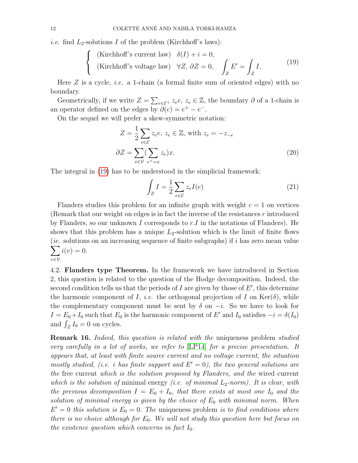*i.e.* find  $L_2$ -solutions I of the problem (Kirchhoff's laws):

<span id="page-11-0"></span>{ (Kirchhoff's current law) 
$$
\delta(I) + i = 0
$$
,  
{ (Kirchhoff's voltage law)  $\forall Z, \partial Z = 0$ ,  $\int_{Z} E' = \int_{Z} I$ , (19)

Here  $Z$  is a cycle, *i.e.* a 1-chain (a formal finite sum of oriented edges) with no boundary.

Geometrically, if we write  $Z = \sum_{e \in \mathcal{E}^+} z_e e, z_e \in \mathbb{Z}$ , the boundary  $\partial$  of a 1-chain is an operator defined on the edges by  $\partial(e) = e^+ - e^-$ .

On the sequel we will prefer a skew-symmetric notation:

$$
Z = \frac{1}{2} \sum_{e \in \mathcal{E}} z_e e, \ z_e \in \mathbb{Z}, \text{ with } z_e = -z_{-e}
$$

$$
\partial Z = \sum_{x \in \mathcal{V}} (\sum_{e^+ = x} z_e) x.
$$
(20)

The integral in [\(19\)](#page-11-0) has to be understood in the simplicial framework:

<span id="page-11-1"></span>
$$
\int_{Z} I = \frac{1}{2} \sum_{e \in \mathcal{E}} z_e I(e) \tag{21}
$$

Flanders studies this problem for an infinite graph with weight  $c = 1$  on vertices (Remark that our weight on edges is in fact the inverse of the resistances r introduced by Flanders, so our unknown I corresponds to  $r.I$  in the notations of Flanders). He shows that this problem has a unique  $L_2$ -solution which is the limit of finite flows  $\sum$ (*ie.* solutions on an increasing sequence of finite subgraphs) if  $i$  has zero mean value v∈V  $i(v) = 0.$ 

4.2. Flanders type Theorem. In the framework we have introduced in Section 2, this question is related to the question of the Hodge decomposition. Indeed, the second condition tells us that the periods of  $I$  are given by those of  $E'$ , this determine the harmonic component of I, i.e. the orthogonal projection of I on  $\text{Ker}(\delta)$ , while the complementary component must be sent by  $\delta$  on  $-i$ . So we have to look for  $I = E_0 + I_0$  such that  $E_0$  is the harmonic component of E' and  $I_0$  satisfies  $-i = \delta(I_0)$ and  $\int_Z I_0 = 0$  on cycles.

<span id="page-11-2"></span>**Remark 16.** Indeed, this question is related with the uniqueness problem studied very carefully in a lot of works, we refer to [\[LP14\]](#page-18-14) for a precise presentation. It appears that, at least with finite source current and no voltage current, the situation mostly studied, (i.e. i has finite support and  $E' = 0$ ), the two general solutions are the free current which is the solution proposed by Flanders, and the wired current which is the solution of minimal energy (i.e. of minimal  $L_2$ -norm). It is clear, with the previous decomposition  $I = E_0 + I_0$ , that there exists at most one  $I_0$  and the solution of minimal energy is given by the choice of  $E_0$  with minimal norm. When  $E' = 0$  this solution is  $E_0 = 0$ . The uniqueness problem is to find conditions where there is no choice although for  $E_0$ . We will not study this question here but focus on the existence question which concerns in fact  $I_0$ .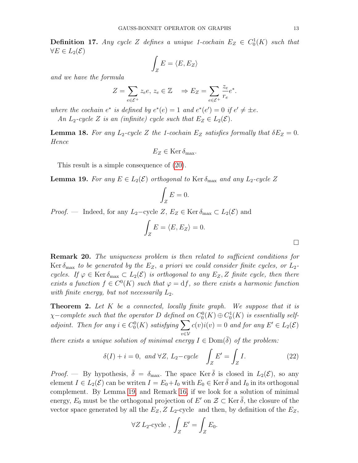**Definition 17.** Any cycle Z defines a unique 1-cochain  $E_Z \in C_0^1(K)$  such that  $\forall E \in L_2(\mathcal{E})$ 

$$
\int_Z E = \langle E, E_Z \rangle
$$

and we have the formula

$$
Z = \sum_{e \in \mathcal{E}^+} z_e e, \ z_e \in \mathbb{Z} \quad \Rightarrow E_Z = \sum_{e \in \mathcal{E}^+} \frac{z_e}{r_e} e^*.
$$

where the cochain  $e^*$  is defined by  $e^*(e) = 1$  and  $e^*(e') = 0$  if  $e' \neq \pm e$ .

An  $L_2$ -cycle Z is an (infinite) cycle such that  $E_Z \in L_2(\mathcal{E})$ .

**Lemma 18.** For any  $L_2$ -cycle Z the 1-cochain  $E_Z$  satisfies formally that  $\delta E_Z = 0$ . Hence

$$
E_Z \in \text{Ker } \delta_{\text{max}}.
$$

This result is a simple consequence of [\(20\)](#page-11-1).

<span id="page-12-0"></span>**Lemma 19.** For any  $E \in L_2(\mathcal{E})$  orthogonal to Ker  $\delta_{\text{max}}$  and any  $L_2$ -cycle Z

$$
\int_Z E = 0.
$$

*Proof.* — Indeed, for any  $L_2$ –cycle  $Z, E_Z \in \text{Ker } \delta_{\text{max}} \subset L_2(\mathcal{E})$  and

$$
\int_Z E = \langle E, E_Z \rangle = 0.
$$

Remark 20. The uniqueness problem is then related to sufficient conditions for Ker  $\delta_{\text{max}}$  to be generated by the  $E_Z$ , a priori we could consider finite cycles, or  $L_2$ cycles. If  $\varphi \in \text{Ker } \delta_{\text{max}} \subset L_2(\mathcal{E})$  is orthogonal to any  $E_Z, Z$  finite cycle, then there exists a function  $f \in C^{0}(K)$  such that  $\varphi = df$ , so there exists a harmonic function with finite energy, but not necessarily  $L_2$ .

**Theorem 2.** Let  $K$  be a connected, locally finite graph. We suppose that it is  $\chi$ –complete such that the operator D defined on  $C_0^0(K) \oplus C_0^1(K)$  is essentially selfadjoint. Then for any  $i \in C_0^0(K)$  satisfying  $\sum$ v∈V  $c(v)i(v) = 0$  and for any  $E' \in L_2(\mathcal{E})$ 

there exists a unique solution of minimal energy  $I \in \text{Dom}(\delta)$  of the problem:

$$
\delta(I) + i = 0, \text{ and } \forall Z, L_2 - cycle \quad \int_Z E' = \int_Z I. \tag{22}
$$

*Proof.* — By hypothesis,  $\bar{\delta} = \delta_{\text{max}}$ . The space Ker  $\bar{\delta}$  is closed in  $L_2(\mathcal{E})$ , so any element  $I \in L_2(\mathcal{E})$  can be writen  $I = E_0 + I_0$  with  $E_0 \in \text{Ker } \overline{\delta}$  and  $I_0$  in its orthogonal complement. By Lemma [19,](#page-12-0) and Remark [16,](#page-11-2) if we look for a solution of minimal energy,  $E_0$  must be the orthogonal projection of  $E'$  on  $\mathcal{Z} \subset \text{Ker } \overline{\delta}$ , the closure of the vector space generated by all the  $E_Z$ ,  $Z$   $L_2$ -cycle and then, by definition of the  $E_Z$ ,

$$
\forall Z \, L_2\text{-cycle} , \, \int_Z E' = \int_Z E_0.
$$

 $\Box$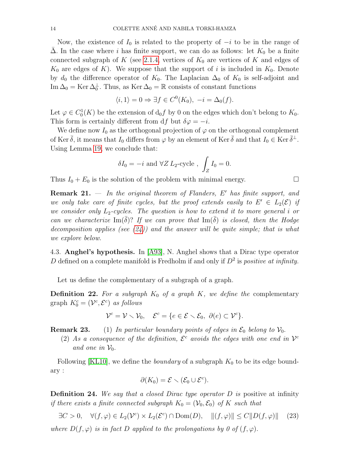Now, the existence of  $I_0$  is related to the property of  $-i$  to be in the range of  $\Delta$ . In the case where i has finite support, we can do as follows: let  $K_0$  be a finite connected subgraph of K (see [2.1.4,](#page-2-2) vertices of  $K_0$  are vertices of K and edges of  $K_0$  are edges of K). We suppose that the support of i is included in  $K_0$ . Denote by  $d_0$  the difference operator of  $K_0$ . The Laplacian  $\Delta_0$  of  $K_0$  is self-adjoint and Im  $\Delta_0 = \text{Ker } \Delta_0^{\perp}$ . Thus, as  $\text{Ker } \Delta_0 = \mathbb{R}$  consists of constant functions

$$
\langle i, 1 \rangle = 0 \Rightarrow \exists f \in C^0(K_0), -i = \Delta_0(f).
$$

Let  $\varphi \in C_0^1(K)$  be the extension of  $d_0 f$  by 0 on the edges which don't belong to  $K_0$ . This form is certainly different from df but  $\delta \varphi = -i$ .

We define now  $I_0$  as the orthogonal projection of  $\varphi$  on the orthogonal complement of Ker  $\bar{\delta}$ , it means that  $I_0$  differs from  $\varphi$  by an element of Ker  $\bar{\delta}$  and that  $I_0 \in \text{Ker } \bar{\delta}^{\perp}$ . Using Lemma [19,](#page-12-0) we conclude that:

$$
\delta I_0 = -i \text{ and } \forall Z \ L_2\text{-cycle} , \int_Z I_0 = 0.
$$

Thus  $I_0 + E_0$  is the solution of the problem with minimal energy.

**Remark 21.**  $-$  In the original theorem of Flanders, E' has finite support, and we only take care of finite cycles, but the proof extends easily to  $E' \in L_2(\mathcal{E})$  if we consider only  $L_2$ -cycles. The question is how to extend it to more general i or can we characterize Im( $\delta$ )? If we can prove that Im( $\delta$ ) is closed, then the Hodge decomposition applies (see  $(24)$ ) and the answer will be quite simple; that is what we explore below.

<span id="page-13-0"></span>4.3. Anghel's hypothesis. In [\[A93\]](#page-18-13), N. Anghel shows that a Dirac type operator D defined on a complete manifold is Fredholm if and only if  $D^2$  is *positive at infinity*.

Let us define the complementary of a subgraph of a graph.

**Definition 22.** For a subgraph  $K_0$  of a graph K, we define the complementary graph  $K_0^c = (\mathcal{V}^c, \mathcal{E}^c)$  as follows

$$
\mathcal{V}^c = \mathcal{V} \setminus \mathcal{V}_0, \quad \mathcal{E}^c = \{ e \in \mathcal{E} \setminus \mathcal{E}_0, \ \partial(e) \subset \mathcal{V}^c \}.
$$

**Remark 23.** (1) In particular boundary points of edges in  $\mathcal{E}_0$  belong to  $\mathcal{V}_0$ .

(2) As a consequence of the definition,  $\mathcal{E}^c$  avoids the edges with one end in  $\mathcal{V}^c$ and one in  $\mathcal{V}_0$ .

Following [\[KL10\]](#page-18-16), we define the *boundary* of a subgraph  $K_0$  to be its edge boundary :

$$
\partial(K_0) = \mathcal{E} \setminus (\mathcal{E}_0 \cup \mathcal{E}^c).
$$

**Definition 24.** We say that a closed Dirac type operator  $D$  is positive at infinity if there exists a finite connected subgraph  $K_0 = (\mathcal{V}_0, \mathcal{E}_0)$  of K such that

<span id="page-13-1"></span> $\exists C > 0, \quad \forall (f, \varphi) \in L_2(\mathcal{V}^c) \times L_2(\mathcal{E}^c) \cap \text{Dom}(D), \quad ||(f, \varphi)|| \leq C ||D(f, \varphi)||$  (23)

where  $D(f, \varphi)$  is in fact D applied to the prolongations by 0 of  $(f, \varphi)$ .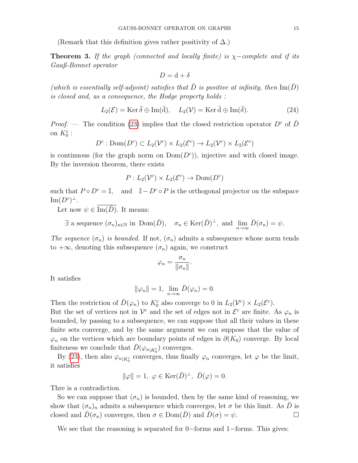(Remark that this definition gives rather positivity of  $\Delta$ .)

**Theorem 3.** If the graph (connected and locally finite) is  $\chi$ -complete and if its Gauß-Bonnet operator

$$
D = \mathrm{d} + \delta
$$

(which is essentially self-adjoint) satisfies that  $\overline{D}$  is positive at infinity, then  $\text{Im}(\overline{D})$ is closed and, as a consequence, the Hodge property holds :

<span id="page-14-0"></span>
$$
L_2(\mathcal{E}) = \text{Ker }\bar{\delta} \oplus \text{Im}(\bar{d}), \quad L_2(\mathcal{V}) = \text{Ker }\bar{d} \oplus \text{Im}(\bar{\delta}). \tag{24}
$$

*Proof.* — The condition [\(23\)](#page-13-1) implies that the closed restriction operator  $D^c$  of  $\overline{D}$ on  $K_0^c$ :

$$
D^c: \text{Dom}(D^c) \subset L_2(\mathcal{V}^c) \times L_2(\mathcal{E}^c) \to L_2(\mathcal{V}^c) \times L_2(\mathcal{E}^c)
$$

is continuous (for the graph norm on  $Dom(D<sup>c</sup>)$ ), injective and with closed image. By the inversion theorem, there exists

$$
P: L_2(\mathcal{V}^c) \times L_2(\mathcal{E}^c) \to \text{Dom}(D^c)
$$

such that  $P \circ D^c = \mathbb{I}$ , and  $\mathbb{I} - D^c \circ P$  is the orthogonal projector on the subspace  $\mathrm{Im}(D^c)^{\perp}.$ 

Let now  $\psi \in \overline{\text{Im}(\overline{D})}$ . It means:

 $\exists$  a sequence  $(\sigma_n)_{n\in\mathbb{N}}$  in  $Dom(\bar{D}), \quad \sigma_n \in \text{Ker}(\bar{D})^{\perp}$ , and  $\lim_{n\to\infty} \bar{D}(\sigma_n) = \psi$ .

The sequence  $(\sigma_n)$  is bounded. If not,  $(\sigma_n)$  admits a subsequence whose norm tends to  $+\infty$ , denoting this subsequence  $(\sigma_n)$  again, we construct

$$
\varphi_n = \frac{\sigma_n}{\|\sigma_n\|}.
$$

It satisfies

$$
\|\varphi_n\| = 1, \ \lim_{n \to \infty} \bar{D}(\varphi_n) = 0.
$$

Then the restriction of  $\bar{D}(\varphi_n)$  to  $K_0^c$  also converge to 0 in  $L_2(\mathcal{V}^c) \times L_2(\mathcal{E}^c)$ .

But the set of vertices not in  $\mathcal{V}^c$  and the set of edges not in  $\mathcal{E}^c$  are finite. As  $\varphi_n$  is bounded, by passing to a subsequence, we can suppose that all their values in these finite sets converge, and by the same argument we can suppose that the value of  $\varphi_n$  on the vertices which are boundary points of edges in  $\partial(K_0)$  converge. By local finiteness we conclude that  $\bar{D}(\varphi_{n|K_0^c})$  converges.

By [\(23\)](#page-13-1), then also  $\varphi_{n|K_0^c}$  converges, thus finally  $\varphi_n$  converges, let  $\varphi$  be the limit, it satisfies

$$
\|\varphi\|=1,\ \varphi\in \text{Ker}(\bar{D})^{\perp},\ \bar{D}(\varphi)=0.
$$

Thre is a contradiction.

So we can suppose that  $(\sigma_n)$  is bounded, then by the same kind of reasoning, we show that  $(\sigma_n)_n$  admits a subsequence which converges, let  $\sigma$  be this limit. As  $\bar{D}$  is closed and  $\overline{D}(\sigma_n)$  converges, then  $\sigma \in \text{Dom}(\overline{D})$  and  $\overline{D}(\sigma) = \psi$ .

We see that the reasoning is separated for 0−forms and 1−forms. This gives: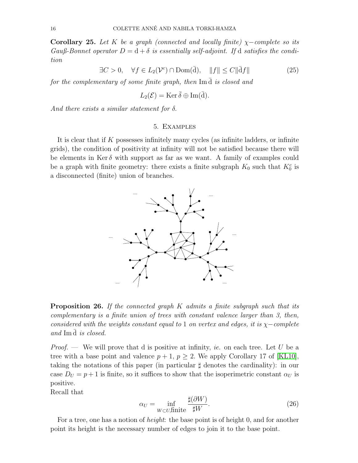Corollary 25. Let K be a graph (connected and locally finite)  $\chi$ -complete so its Gauß-Bonnet operator  $D = d + \delta$  is essentially self-adjoint. If d satisfies the condition

<span id="page-15-2"></span>
$$
\exists C > 0, \quad \forall f \in L_2(\mathcal{V}^c) \cap \text{Dom}(\bar{\mathbf{d}}), \quad \|f\| \le C \|\bar{\mathbf{d}}f\| \tag{25}
$$

for the complementary of some finite graph, then  $\text{Im } \bar{d}$  is closed and

$$
L_2(\mathcal{E}) = \text{Ker}\,\bar{\delta} \oplus \text{Im}(\bar{d}).
$$

<span id="page-15-0"></span>And there exists a similar statement for  $\delta$ .

### 5. Examples

It is clear that if  $K$  possesses infinitely many cycles (as infinite ladders, or infinite grids), the condition of positivity at infinity will not be satisfied because there will be elements in Ker  $\delta$  with support as far as we want. A family of examples could be a graph with finite geometry: there exists a finite subgraph  $K_0$  such that  $K_0^c$  is a disconnected (finite) union of branches.



<span id="page-15-1"></span>**Proposition 26.** If the connected graph  $K$  admits a finite subgraph such that its complementary is a finite union of trees with constant valence larger than 3, then, considered with the weights constant equal to 1 on vertex and edges, it is  $\chi$ −complete and Im d is closed.

*Proof.* — We will prove that d is positive at infinity, ie. on each tree. Let U be a tree with a base point and valence  $p + 1$ ,  $p \ge 2$ . We apply Corollary 17 of [\[KL10\]](#page-18-16), taking the notations of this paper (in particular  $\sharp$  denotes the cardinality): in our case  $D_U = p + 1$  is finite, so it suffices to show that the isoperimetric constant  $\alpha_U$  is positive.

Recall that

<span id="page-15-3"></span>
$$
\alpha_U = \inf_{W \subset U, \text{finite}} \frac{\sharp(\partial W)}{\sharp W}.
$$
\n(26)

For a tree, one has a notion of *height*: the base point is of height 0, and for another point its height is the necessary number of edges to join it to the base point.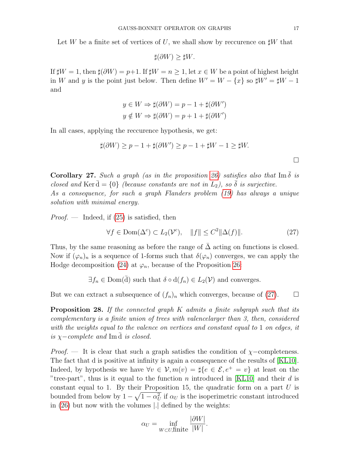Let W be a finite set of vertices of U, we shall show by reccurence on  $\sharp W$  that

$$
\sharp(\partial W) \ge \sharp W.
$$

If  $\sharp W = 1$ , then  $\sharp (\partial W) = p+1$ . If  $\sharp W = n > 1$ , let  $x \in W$  be a point of highest height in W and y is the point just below. Then define  $W' = W - \{x\}$  so  $\sharp W' = \sharp W - 1$ and

$$
y \in W \Rightarrow \sharp(\partial W) = p - 1 + \sharp(\partial W')
$$
  

$$
y \notin W \Rightarrow \sharp(\partial W) = p + 1 + \sharp(\partial W')
$$

In all cases, applying the reccurence hypothesis, we get:

$$
\sharp(\partial W) \ge p - 1 + \sharp(\partial W') \ge p - 1 + \sharp W - 1 \ge \sharp W.
$$

**Corollary 27.** Such a graph (as in the proposition [26\)](#page-15-1) satisfies also that Im  $\delta$  is closed and Ker  $\bar{d} = \{0\}$  (because constants are not in  $L_2$ ), so  $\bar{\delta}$  is surjective. As a consequence, for such a graph Flanders problem [\(19\)](#page-11-0) has always a unique solution with minimal energy.

*Proof.* — Indeed, if  $(25)$  is satisfied, then

<span id="page-16-0"></span>
$$
\forall f \in \text{Dom}(\Delta^c) \subset L_2(\mathcal{V}^c), \quad \|f\| \le C^2 \|\Delta(f)\|.
$$
 (27)

Thus, by the same reasoning as before the range of  $\bar{\Delta}$  acting on functions is closed. Now if  $(\varphi_n)_n$  is a sequence of 1-forms such that  $\delta(\varphi_n)$  converges, we can apply the Hodge decomposition [\(24\)](#page-14-0) at  $\varphi_n$ , because of the Proposition [26:](#page-15-1)

$$
\exists f_n \in \text{Dom}(\bar{d})
$$
 such that  $\delta \circ d(f_n) \in L_2(\mathcal{V})$  and converges.

But we can extract a subsequence of  $(f_n)_n$  which converges, because of [\(27\)](#page-16-0).  $\Box$ 

<span id="page-16-1"></span>**Proposition 28.** If the connected graph  $K$  admits a finite subgraph such that its complementary is a finite union of trees with valencelarger than 3, then, considered with the weights equal to the valence on vertices and constant equal to 1 on edges, it is  $\chi$ −complete and Im d is closed.

*Proof.* — It is clear that such a graph satisfies the condition of  $\chi$ -completeness. The fact that d is positive at infinity is again a consequence of the results of [\[KL10\]](#page-18-16). Indeed, by hypothesis we have  $\forall v \in V, m(v) = \#\{e \in \mathcal{E}, e^+ = v\}$  at least on the "tree-part", thus is it equal to the function n introduced in [\[KL10\]](#page-18-16) and their d is constant equal to 1. By their Proposition 15, the quadratic form on a part  $U$  is bounded from below by  $1 - \sqrt{1 - \alpha_U^2}$  if  $\alpha_U$  is the isoperimetric constant introduced in [\(26\)](#page-15-3) but now with the volumes |.| defined by the weights:

$$
\alpha_U = \inf_{W \subset U, \text{finite}} \frac{|\partial W|}{|W|}.
$$

 $\Box$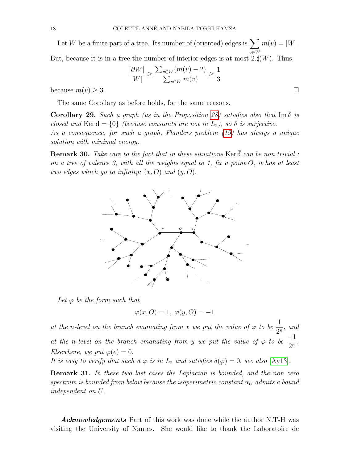Let W be a finite part of a tree. Its number of (oriented) edges is  $\sum$ v∈W  $m(v) = |W|.$ But, because it is in a tree the number of interior edges is at most  $2.\sharp(W)$ . Thus

$$
\frac{|\partial W|}{|W|} \ge \frac{\sum_{v \in W} (m(v) - 2)}{\sum_{v \in W} m(v)} \ge \frac{1}{3}
$$

because  $m(v) \geq 3$ .

The same Corollary as before holds, for the same reasons.

**Corollary 29.** Such a graph (as in the Proposition [28\)](#page-16-1) satisfies also that Im  $\delta$  is closed and Ker d =  $\{0\}$  (because constants are not in  $L_2$ ), so  $\delta$  is surjective. As a consequence, for such a graph, Flanders problem [\(19\)](#page-11-0) has always a unique solution with minimal energy.

**Remark 30.** Take care to the fact that in these situations Ker  $\bar{\delta}$  can be non trivial : on a tree of valence 3, with all the weights equal to 1, fix a point  $O$ , it has at least two edges which go to infinity:  $(x, 0)$  and  $(y, 0)$ .



Let  $\varphi$  be the form such that

$$
\varphi(x, O) = 1, \ \varphi(y, O) = -1
$$

at the n-level on the branch emanating from x we put the value of  $\varphi$  to be  $\frac{1}{\infty}$  $\frac{1}{2^n}$ , and at the n-level on the branch emanating from y we put the value of  $\varphi$  to be  $\frac{-1}{2}$  $\frac{1}{2^n}$ . Elsewhere, we put  $\varphi(e) = 0$ .

It is easy to verify that such a  $\varphi$  is in  $L_2$  and satisfies  $\delta(\varphi) = 0$ , see also [\[Ay13\]](#page-18-17).

Remark 31. In these two last cases the Laplacian is bounded, and the non zero spectrum is bounded from below because the isoperimetric constant  $\alpha_U$  admits a bound independent on U.

**Acknowledgements** Part of this work was done while the author N.T-H was visiting the University of Nantes. She would like to thank the Laboratoire de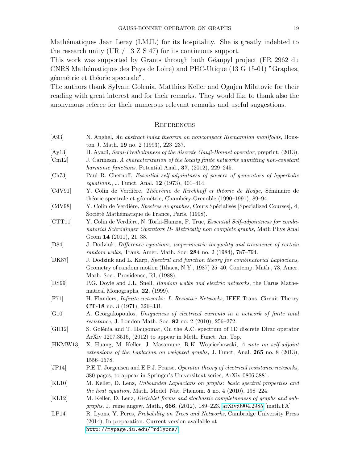Mathématiques Jean Leray (LMJL) for its hospitality. She is greatly indebted to the research unity (UR  $/$  13 Z S 47) for its continuous support.

This work was supported by Grants through both Géanpyl project (FR 2962 du CNRS Mathématiques des Pays de Loire) and PHC-Utique (13 G 15-01) "Graphes, géométrie et théorie spectrale".

The authors thank Sylvain Golenia, Matthias Keller and Ognjen Milatovic for their reading with great interest and for their remarks. They would like to thank also the anonymous referee for their numerous relevant remarks and useful suggestions.

### **REFERENCES**

<span id="page-18-17"></span><span id="page-18-13"></span><span id="page-18-12"></span><span id="page-18-8"></span><span id="page-18-6"></span><span id="page-18-4"></span><span id="page-18-3"></span><span id="page-18-2"></span><span id="page-18-1"></span><span id="page-18-0"></span>

| [A93]                | N. Anghel, An abstract index theorem on noncompact Riemannian manifolds, Hous-<br>ton J. Math. 19 no. 2 (1993), 223-237.                                                                                     |
|----------------------|--------------------------------------------------------------------------------------------------------------------------------------------------------------------------------------------------------------|
| [Ay13]               | H. Ayadi, Semi-Fredholmness of the discrete Gauß-Bonnet operator, preprint, (2013).                                                                                                                          |
| [Cm12]               | J. Carmesin, A characterization of the locally finite networks admitting non-constant<br>harmonic functions, Potential Anal., $37$ , $(2012)$ , $229-245$ .                                                  |
| [Ch73]               | Paul R. Chernoff, <i>Essential self-adjointness of powers of generators of hyperbolic</i><br>equations., J. Funct. Anal. 12 (1973), 401-414.                                                                 |
| [CdV91]              | Y. Colin de Verdière, Théorème de Kirchhoff et théorie de Hodge, Séminaire de<br>théorie spectrale et géométrie, Chambéry-Grenoble (1990-1991), 89-94.                                                       |
| [CdV98]              | Y. Colin de Verdière, Spectres de graphes, Cours Spécialisés [Specialized Courses], 4,<br>Société Mathématique de France, Paris, (1998).                                                                     |
| [CTT11]              | Y. Colin de Verdière, N. Torki-Hamza, F. Truc, <i>Essential Self-adjointness for combi-</i><br>natorial Schrödinger Operators II- Metrically non complete graphs, Math Phys Anal<br>Geom $14$ (2011), 21-38. |
| [D84]                | J. Dodziuk, Difference equations, isoperimetric inequality and transience of certain<br>random walks, Trans. Amer. Math. Soc. 284 no. 2 (1984), 787-794.                                                     |
| [DK87]               | J. Dodziuk and L. Karp, Spectral and function theory for combinatorial Laplacians,<br>Geometry of random motion (Ithaca, N.Y., 1987) 25–40, Contemp. Math., 73, Amer.<br>Math. Soc., Providence, RI, (1988). |
| [DS99]               | P.G. Doyle and J.L. Snell, Random walks and electric networks, the Carus Mathe-<br>matical Monographs, $22$ , (1999).                                                                                        |
| $[$ F71 $]$          | H. Flanders, <i>Infinite networks: I- Resistive Networks</i> , IEEE Trans. Circuit Theory<br>CT-18 no. 3 (1971), 326-331.                                                                                    |
| [G10]                | A. Georgakopoulos, Uniqueness of electrical currents in a network of finite total<br><i>resistance</i> , J. London Math. Soc. 82 no. 2 $(2010)$ , 256–272.                                                   |
| [GH12]               | S. Golénia and T. Haugomat, On the A.C. spectrum of 1D discrete Dirac operator<br>ArXiv 1207.3516, $(2012)$ to appear in Meth. Funct. An. Top.                                                               |
| [HKMW13]             | X. Huang, M. Keller, J. Masamune, R.K. Wojciechowski, A note on self-adjoint<br>extensions of the Laplacian on weighted graphs, J. Funct. Anal. 265 no. 8 (2013),<br>$1556 - 1578.$                          |
| [JP14]               | P.E.T. Jorgensen and E.P.J. Pearse, Operator theory of electrical resistance networks,<br>380 pages, to appear in Springer's Universitext series, ArXiv 0806.3881.                                           |
| $\vert$ KL10 $\vert$ | M. Keller, D. Lenz, Unbounded Laplacians on graphs: basic spectral properties and<br>the heat equation, Math. Model. Nat. Phenom. $5$ no. $4$ (2010), 198-224.                                               |
| $\vert$ KL12 $\vert$ | M. Keller, D. Lenz, <i>Dirichlet forms and stochastic completneness of graphs and sub-</i><br>graphs, J. reine angew. Math., 666, (2012), 189-223. arXiv:0904.2985 [math.FA]                                 |
| [LP14]               | R. Lyons, Y. Peres, Probability on Trees and Networks, Cambridge University Press                                                                                                                            |

<span id="page-18-16"></span><span id="page-18-15"></span><span id="page-18-14"></span><span id="page-18-11"></span><span id="page-18-10"></span><span id="page-18-9"></span><span id="page-18-7"></span><span id="page-18-5"></span>(2014), In preparation. Current version available at

<http://mypage.iu.edu/~rdlyons/>.